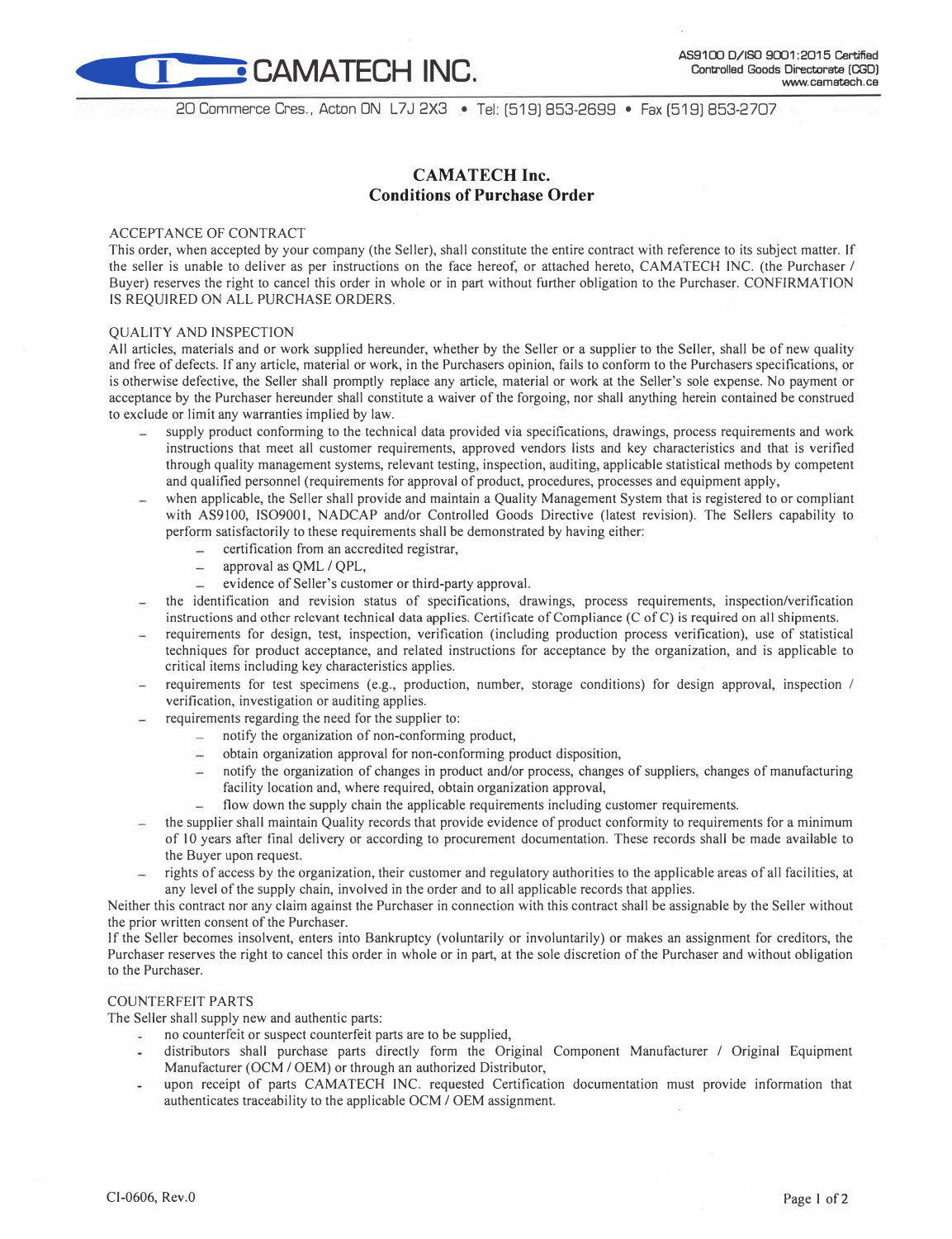20 Commerce Cres., Acton ON L7J 2X3 • Tel: (519) 853-2699 • Fax (519) 853-2707

# **CAMATECH Inc. Conditions of Purchase Order**

#### ACCEPTANCE OF CONTRACT

This order, when accepted by your company (the Seller), shall constitute the entire contract with reference to its subject matter. If the seller is unable to deliver as per instructions on the face hereof, or attached hereto, CAMATECH INC. (the Purchaser / Buyer) reserves the right to cancel this order in whole or in part without further obligation to the Purchaser. CONFIRMATION IS REQUIRED ON ALL PURCHASE ORDERS.

#### QUALITY AND INSPECTION

All articles, materials and or work supplied hereunder, whether by the Seller or a supplier to the Seller, shall be of new quality and free of defects. If any article, material or work, in the Purchasers opinion, fails to conform to the Purchasers specifications, or is otherwise defective, the Seller shall promptly replace any article, material or work at the Seller's sole expense. No payment or acceptance by the Purchaser hereunder shall constitute a waiver of the forgoing, nor shall anything herein contained be construed to exclude or limit any warranties implied by law.

- supply product conforming to the technical data provided via specifications, drawings, process requirements and work instructions that meet all customer requirements, approved vendors lists and key characteristics and that is verified through quality management systems, relevant testing, inspection, auditing, applicable statistical methods by competent and qualified personnel (requirements for approval of product, procedures, processes and equipment apply,
- when applicable, the Seller shall provide and maintain a Quality Management System that is registered to or compliant with AS9100, ISO9001, NADCAP and/or Controlled Goods Directive (latest revision). The Sellers capability to perform satisfactorily to these requirements shall be demonstrated by having either:
	- certification from an accredited registrar,
	- $\sim$ approval as QML / QPL,
	- evidence of Seller's customer or third-party approval.
- the identification and revision status of specifications, drawings, process requirements, inspection/verification instructions and other relevant technical data applies. Certificate of Compliance (C of C) is required on all shipments.
- requirements for design, test, inspection, verification (including production process verification), use of statistical techniques for product acceptance, and related instructions for acceptance by the organization, and is applicable to critical items including key characteristics applies.
- requirements for test specimens (e.g., production, number, storage conditions) for design approval, inspection / verification, investigation or auditing applies.
- requirements regarding the need for the supplier to:
	- notify the organization of non-conforming product,
	- obtain organization approval for non-conforming product disposition,
	- $-$  notify the organization of changes in product and/or process, changes of suppliers, changes of manufacturing facility location and, where required, obtain organization approval,
	- flow down the supply chain the applicable requirements including customer requirements.
- the supplier shall maintain Quality records that provide evidence of product conformity to requirements for a minimum of 10 years after final delivery or according to procurement documentation. These records shall be made available to the Buyer upon request.
- rights of access by the organization, their customer and regulatory authorities to the applicable areas of all facilities, at any level of the supply chain, involved in the order and to all applicable records that applies.

Neither this contract nor any claim against the Purchaser in connection with this contract shall be assignable by the Seller without the prior written consent of the Purchaser.

If the Seller becomes insolvent, enters into Bankruptcy (voluntarily or involuntarily) or makes an assignment for creditors, the Purchaser reserves the right to cancel this order in whole or in part, at the sole discretion of the Purchaser. and without obligation to the Purchaser.

### COUNTERFEIT PARTS

The Seller shall supply new and authentic parts:

- no counterfeit or suspect counterfeit parts are to be supplied,
- distributors shall purchase parts directly form the Original Component Manufacturer / Original Equipment Manufacturer (OCM / OEM) or through an authorized Distributor,
- upon receipt of parts CAMATECH INC. requested Certification documentation must provide information that authenticates traceability to the applicable OCM / OEM assignment.